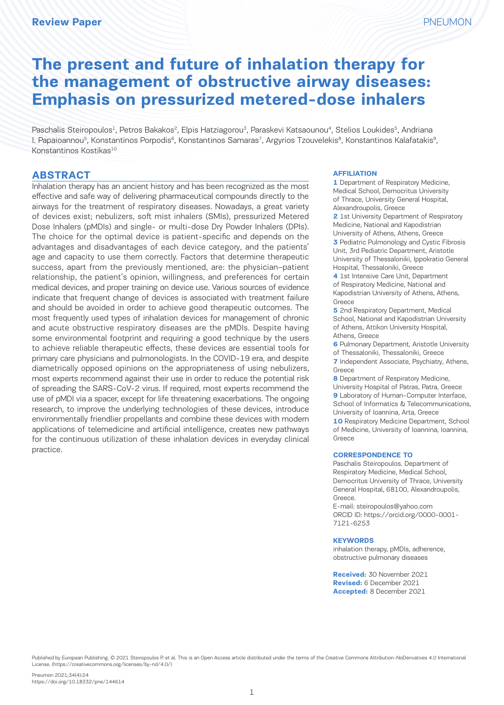# **The present and future of inhalation therapy for the management of obstructive airway diseases: Emphasis on pressurized metered-dose inhalers**

Paschalis Steiropoulos<sup>1</sup>, Petros Bakakos<sup>2</sup>, Elpis Hatziagorou<sup>3</sup>, Paraskevi Katsaounou<sup>4</sup>, Stelios Loukides<sup>5</sup>, Andriana I. Papaioannou<sup>5</sup>, Konstantinos Porpodis<sup>6</sup>, Konstantinos Samaras<sup>7</sup>, Argyrios Tzouvelekis<sup>8</sup>, Konstantinos Kalafatakis<sup>9</sup>, Konstantinos Kostikas<sup>10</sup>

## **ABSTRACT**

Inhalation therapy has an ancient history and has been recognized as the most effective and safe way of delivering pharmaceutical compounds directly to the airways for the treatment of respiratory diseases. Nowadays, a great variety of devices exist; nebulizers, soft mist inhalers (SMIs), pressurized Metered Dose Inhalers (pMDIs) and single- or multi-dose Dry Powder Inhalers (DPIs). The choice for the optimal device is patient-specific and depends on the advantages and disadvantages of each device category, and the patients' age and capacity to use them correctly. Factors that determine therapeutic success, apart from the previously mentioned, are: the physician–patient relationship, the patient's opinion, willingness, and preferences for certain medical devices, and proper training on device use. Various sources of evidence indicate that frequent change of devices is associated with treatment failure and should be avoided in order to achieve good therapeutic outcomes. The most frequently used types of inhalation devices for management of chronic and acute obstructive respiratory diseases are the pMDIs. Despite having some environmental footprint and requiring a good technique by the users to achieve reliable therapeutic effects, these devices are essential tools for primary care physicians and pulmonologists. In the COVID-19 era, and despite diametrically opposed opinions on the appropriateness of using nebulizers, most experts recommend against their use in order to reduce the potential risk of spreading the SARS-CoV-2 virus. If required, most experts recommend the use of pMDI via a spacer, except for life threatening exacerbations. The ongoing research, to improve the underlying technologies of these devices, introduce environmentally friendlier propellants and combine these devices with modern applications of telemedicine and artificial intelligence, creates new pathways for the continuous utilization of these inhalation devices in everyday clinical practice.

#### **AFFILIATION**

**1** Department of Respiratory Medicine, Medical School, Democritus University of Thrace, University General Hospital, Alexandroupolis, Greece **2** 1st University Department of Respiratory

Medicine, National and Kapodistrian University of Athens, Athens, Greece

**3** Pediatric Pulmonology and Cystic Fibrosis Unit, 3rd Pediatric Department, Aristotle University of Thessaloniki, Ippokratio General Hospital, Thessaloniki, Greece

**4** 1st Intensive Care Unit, Department of Respiratory Medicine, National and Kapodistrian University of Athens, Athens, Greece

**5** 2nd Respiratory Department, Medical School, National and Kapodistrian University of Athens, Attikon University Hospital, Athens, Greece

**6** Pulmonary Department, Aristotle University

of Thessaloniki, Thessaloniki, Greece **7** Independent Associate, Psychiatry, Athens, Greece

**8** Department of Respiratory Medicine, University Hospital of Patras, Patra, Greece

**9** Laboratory of Human-Computer Interface, School of Informatics & Telecommunications, University of Ioannina, Arta, Greece

**10** Respiratory Medicine Department, School of Medicine, University of Ioannina, Ioannina, Greece

#### **CORRESPONDENCE TO**

Paschalis Steiropoulos. Department of Respiratory Medicine, Medical School, Democritus University of Thrace, University General Hospital, 68100, Alexandroupolis, Greece.

E-mail: steiropoulos@yahoo.com ORCID ID: https://orcid.org/0000-0001- 7121-6253

#### **KEYWORDS**

inhalation therapy, pMDIs, adherence, obstructive pulmonary diseases

**Received:** 30 November 2021 **Revised:** 6 December 2021 **Accepted:** 8 December 2021

Published by European Publishing. © 2021 Steiropoulos P. et al. This is an Open Access article distributed under the terms of the Creative Commons Attribution-NoDerivatives 4.0 International License. (https://creativecommons.org/licenses/by-nd/4.0/)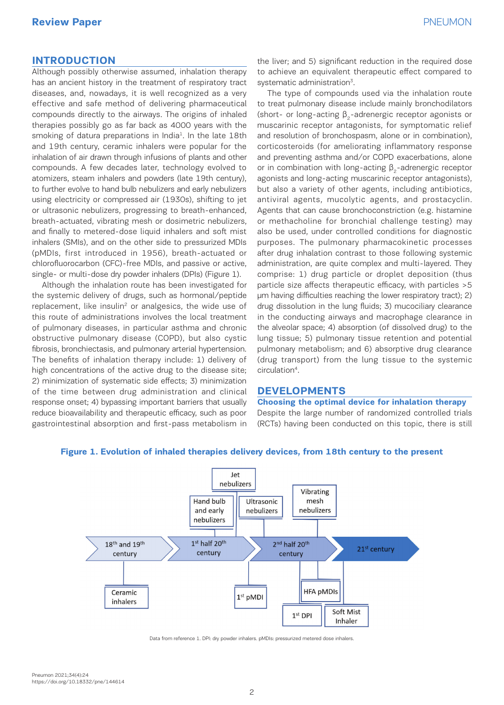# **Review Paper** Paper **Paper** PNEUMON

## **INTRODUCTION**

Although possibly otherwise assumed, inhalation therapy has an ancient history in the treatment of respiratory tract diseases, and, nowadays, it is well recognized as a very effective and safe method of delivering pharmaceutical compounds directly to the airways. The origins of inhaled therapies possibly go as far back as 4000 years with the smoking of datura preparations in India<sup>1</sup>. In the late 18th and 19th century, ceramic inhalers were popular for the inhalation of air drawn through infusions of plants and other compounds. A few decades later, technology evolved to atomizers, steam inhalers and powders (late 19th century), to further evolve to hand bulb nebulizers and early nebulizers using electricity or compressed air (1930s), shifting to jet or ultrasonic nebulizers, progressing to breath-enhanced, breath-actuated, vibrating mesh or dosimetric nebulizers, and finally to metered-dose liquid inhalers and soft mist inhalers (SMIs), and on the other side to pressurized MDIs (pMDIs, first introduced in 1956), breath-actuated or chlorofluorocarbon (CFC)-free MDIs, and passive or active, single- or multi-dose dry powder inhalers (DPIs) (Figure 1).

Although the inhalation route has been investigated for the systemic delivery of drugs, such as hormonal/peptide replacement, like insulin<sup>2</sup> or analgesics, the wide use of this route of administrations involves the local treatment of pulmonary diseases, in particular asthma and chronic obstructive pulmonary disease (COPD), but also cystic fibrosis, bronchiectasis, and pulmonary arterial hypertension. The benefits of inhalation therapy include: 1) delivery of high concentrations of the active drug to the disease site; 2) minimization of systematic side effects; 3) minimization of the time between drug administration and clinical response onset; 4) bypassing important barriers that usually reduce bioavailability and therapeutic efficacy, such as poor gastrointestinal absorption and first-pass metabolism in

the liver; and 5) significant reduction in the required dose to achieve an equivalent therapeutic effect compared to systematic administration<sup>3</sup>.

The type of compounds used via the inhalation route to treat pulmonary disease include mainly bronchodilators (short- or long-acting  $\beta$ <sub>2</sub>-adrenergic receptor agonists or muscarinic receptor antagonists, for symptomatic relief and resolution of bronchospasm, alone or in combination), corticosteroids (for ameliorating inflammatory response and preventing asthma and/or COPD exacerbations, alone or in combination with long-acting  $β_2$ -adrenergic receptor agonists and long-acting muscarinic receptor antagonists), but also a variety of other agents, including antibiotics, antiviral agents, mucolytic agents, and prostacyclin. Agents that can cause bronchoconstriction (e.g. histamine or methacholine for bronchial challenge testing) may also be used, under controlled conditions for diagnostic purposes. The pulmonary pharmacokinetic processes after drug inhalation contrast to those following systemic administration, are quite complex and multi-layered. They comprise: 1) drug particle or droplet deposition (thus particle size affects therapeutic efficacy, with particles >5 μm having difficulties reaching the lower respiratory tract); 2) drug dissolution in the lung fluids; 3) mucociliary clearance in the conducting airways and macrophage clearance in the alveolar space; 4) absorption (of dissolved drug) to the lung tissue; 5) pulmonary tissue retention and potential pulmonary metabolism; and 6) absorptive drug clearance (drug transport) from the lung tissue to the systemic circulation4.

## **DEVELOPMENTS**

**Choosing the optimal device for inhalation therapy** Despite the large number of randomized controlled trials (RCTs) having been conducted on this topic, there is still



## **Figure 1. Evolution of inhaled therapies delivery devices, from 18th century to the present**

Data from reference 1. DPI: dry powder inhalers. pMDIs: pressurized metered dose inhalers.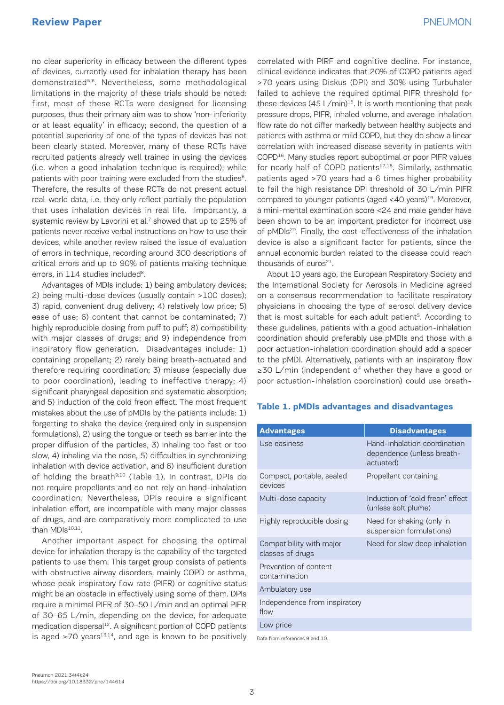no clear superiority in efficacy between the different types of devices, currently used for inhalation therapy has been demonstrated5,6. Nevertheless, some methodological limitations in the majority of these trials should be noted: first, most of these RCTs were designed for licensing purposes, thus their primary aim was to show 'non-inferiority or at least equality' in efficacy; second, the question of a potential superiority of one of the types of devices has not been clearly stated. Moreover, many of these RCTs have recruited patients already well trained in using the devices (i.e. when a good inhalation technique is required); while patients with poor training were excluded from the studies<sup>6</sup>. Therefore, the results of these RCTs do not present actual real-world data, i.e. they only reflect partially the population that uses inhalation devices in real life. Importantly, a systemic review by Lavorini et al.<sup>7</sup> showed that up to 25% of patients never receive verbal instructions on how to use their devices, while another review raised the issue of evaluation of errors in technique, recording around 300 descriptions of critical errors and up to 90% of patients making technique errors, in 114 studies included<sup>8</sup>.

Advantages of MDIs include: 1) being ambulatory devices; 2) being multi-dose devices (usually contain >100 doses); 3) rapid, convenient drug delivery; 4) relatively low price; 5) ease of use; 6) content that cannot be contaminated; 7) highly reproducible dosing from puff to puff; 8) compatibility with major classes of drugs; and 9) independence from inspiratory flow generation. Disadvantages include: 1) containing propellant; 2) rarely being breath-actuated and therefore requiring coordination; 3) misuse (especially due to poor coordination), leading to ineffective therapy; 4) significant pharyngeal deposition and systematic absorption; and 5) induction of the cold freon effect. The most frequent mistakes about the use of pMDIs by the patients include: 1) forgetting to shake the device (required only in suspension formulations), 2) using the tongue or teeth as barrier into the proper diffusion of the particles, 3) inhaling too fast or too slow, 4) inhaling via the nose, 5) difficulties in synchronizing inhalation with device activation, and 6) insufficient duration of holding the breath<sup>9,10</sup> (Table 1). In contrast, DPIs do not require propellants and do not rely on hand-inhalation coordination. Nevertheless, DPIs require a significant inhalation effort, are incompatible with many major classes of drugs, and are comparatively more complicated to use than MDIs<sup>10,11</sup>.

Another important aspect for choosing the optimal device for inhalation therapy is the capability of the targeted patients to use them. This target group consists of patients with obstructive airway disorders, mainly COPD or asthma, whose peak inspiratory flow rate (PIFR) or cognitive status might be an obstacle in effectively using some of them. DPIs require a minimal PIFR of 30–50 L/min and an optimal PIFR of 30–65 L/min, depending on the device, for adequate medication dispersal<sup>12</sup>. A significant portion of COPD patients is aged ≥70 years<sup>13,14</sup>, and age is known to be positively correlated with PIRF and cognitive decline. For instance, clinical evidence indicates that 20% of COPD patients aged >70 years using Diskus (DPI) and 30% using Turbuhaler failed to achieve the required optimal PIFR threshold for these devices  $(45 \text{ L/min})^{15}$ . It is worth mentioning that peak pressure drops, PIFR, inhaled volume, and average inhalation flow rate do not differ markedly between healthy subjects and patients with asthma or mild COPD, but they do show a linear correlation with increased disease severity in patients with COPD16. Many studies report suboptimal or poor PIFR values for nearly half of COPD patients<sup>17,18</sup>. Similarly, asthmatic patients aged >70 years had a 6 times higher probability to fail the high resistance DPI threshold of 30 L/min PIFR compared to younger patients (aged <40 years)<sup>19</sup>. Moreover, a mini-mental examination score <24 and male gender have been shown to be an important predictor for incorrect use of pMDIs<sup>20</sup>. Finally, the cost-effectiveness of the inhalation device is also a significant factor for patients, since the annual economic burden related to the disease could reach thousands of euros $21$ .

About 10 years ago, the European Respiratory Society and the International Society for Aerosols in Medicine agreed on a consensus recommendation to facilitate respiratory physicians in choosing the type of aerosol delivery device that is most suitable for each adult patient<sup>5</sup>. According to these guidelines, patients with a good actuation-inhalation coordination should preferably use pMDIs and those with a poor actuation-inhalation coordination should add a spacer to the pMDI. Alternatively, patients with an inspiratory flow ≥30 L/min (independent of whether they have a good or poor actuation-inhalation coordination) could use breath-

### **Table 1. pMDIs advantages and disadvantages**

| <b>Advantages</b>                            | <b>Disadvantages</b>                                                    |
|----------------------------------------------|-------------------------------------------------------------------------|
| Use easiness                                 | Hand-inhalation coordination<br>dependence (unless breath-<br>actuated) |
| Compact, portable, sealed<br>devices         | Propellant containing                                                   |
| Multi-dose capacity                          | Induction of 'cold freon' effect<br>(unless soft plume)                 |
| Highly reproducible dosing                   | Need for shaking (only in<br>suspension formulations)                   |
| Compatibility with major<br>classes of drugs | Need for slow deep inhalation                                           |
| Prevention of content<br>contamination       |                                                                         |
| Ambulatory use                               |                                                                         |
| Independence from inspiratory<br>flow        |                                                                         |
| Low price                                    |                                                                         |
| Data from references 9 and 10.               |                                                                         |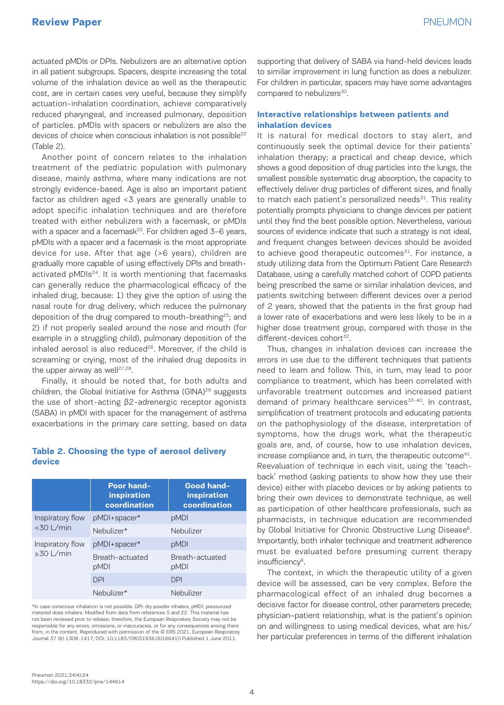actuated pMDIs or DPIs. Nebulizers are an alternative option in all patient subgroups. Spacers, despite increasing the total volume of the inhalation device as well as the therapeutic cost, are in certain cases very useful, because they simplify actuation-inhalation coordination, achieve comparatively reduced pharyngeal, and increased pulmonary, deposition of particles. pMDIs with spacers or nebulizers are also the devices of choice when conscious inhalation is not possible<sup>22</sup> (Table 2).

Another point of concern relates to the inhalation treatment of the pediatric population with pulmonary disease, mainly asthma, where many indications are not strongly evidence-based. Age is also an important patient factor as children aged <3 years are generally unable to adopt specific inhalation techniques and are therefore treated with either nebulizers with a facemask, or pMDIs with a spacer and a facemask<sup>23</sup>. For children aged  $3-6$  years, pMDIs with a spacer and a facemask is the most appropriate device for use. After that age (>6 years), children are gradually more capable of using effectively DPIs and breathactivated pMDIs<sup>24</sup>. It is worth mentioning that facemasks can generally reduce the pharmacological efficacy of the inhaled drug, because: 1) they give the option of using the nasal route for drug delivery, which reduces the pulmonary deposition of the drug compared to mouth-breathing<sup>25</sup>; and 2) if not properly sealed around the nose and mouth (for example in a struggling child), pulmonary deposition of the inhaled aerosol is also reduced<sup>26</sup>. Moreover, if the child is screaming or crying, most of the inhaled drug deposits in the upper airway as well $27,28$ .

Finally, it should be noted that, for both adults and children, the Global Initiative for Asthma (GINA)<sup>29</sup> suggests the use of short-acting β2-adrenergic receptor agonists (SABA) in pMDI with spacer for the management of asthma exacerbations in the primary care setting, based on data

## **Table 2. Choosing the type of aerosol delivery device**

|                                     | Poor hand-<br>inspiration<br>coordination | Good hand-<br>inspiration<br>coordination |
|-------------------------------------|-------------------------------------------|-------------------------------------------|
| Inspiratory flow<br>$<$ 30 L/min    | pMDI+spacer*                              | pMDI                                      |
|                                     | Nebulizer*                                | Nebulizer                                 |
| Inspiratory flow<br>$\geq 30$ L/min | pMDI+spacer*                              | pMDI                                      |
|                                     | Breath-actuated<br>pMDI                   | Breath-actuated<br>pMDI                   |
|                                     | <b>DPI</b>                                | <b>DPI</b>                                |
|                                     | Nebulizer*                                | Nebulizer                                 |

\*In case conscious inhalation is not possible. DPI: dry powder inhalers, pMDI: pressurized metered dose inhalers. Modified from data from references 5 and 22. This material has not been reviewed prior to release; therefore, the European Respiratory Society may not be responsible for any errors, omissions, or inaccuracies, or for any consequences arising there from, in the content. Reproduced with permission of the © ERS 2021. European Respiratory Journal 37 (6) 1308-1417; DOI: 10.1183/09031936.00166410 Published 1 June 2011.

supporting that delivery of SABA via hand-held devices leads to similar improvement in lung function as does a nebulizer. For children in particular, spacers may have some advantages compared to nebulizers<sup>30</sup>.

## **Interactive relationships between patients and inhalation devices**

It is natural for medical doctors to stay alert, and continuously seek the optimal device for their patients' inhalation therapy; a practical and cheap device, which shows a good deposition of drug particles into the lungs, the smallest possible systematic drug absorption, the capacity to effectively deliver drug particles of different sizes, and finally to match each patient's personalized needs $31$ . This reality potentially prompts physicians to change devices per patient until they find the best possible option. Nevertheless, various sources of evidence indicate that such a strategy is not ideal, and frequent changes between devices should be avoided to achieve good therapeutic outcomes $31$ . For instance, a study utilizing data from the Optimum Patient Care Research Database, using a carefully matched cohort of COPD patients being prescribed the same or similar inhalation devices, and patients switching between different devices over a period of 2 years, showed that the patients in the first group had a lower rate of exacerbations and were less likely to be in a higher dose treatment group, compared with those in the different-devices cohort<sup>32</sup>.

Thus, changes in inhalation devices can increase the errors in use due to the different techniques that patients need to learn and follow. This, in turn, may lead to poor compliance to treatment, which has been correlated with unfavorable treatment outcomes and increased patient demand of primary healthcare services<sup>33-40</sup>. In contrast, simplification of treatment protocols and educating patients on the pathophysiology of the disease, interpretation of symptoms, how the drugs work, what the therapeutic goals are, and, of course, how to use inhalation devices, increase compliance and, in turn, the therapeutic outcome<sup>41</sup>. Reevaluation of technique in each visit, using the 'teachback' method (asking patients to show how they use their device) either with placebo devices or by asking patients to bring their own devices to demonstrate technique, as well as participation of other healthcare professionals, such as pharmacists, in technique education are recommended by Global Initiative for Chronic Obstructive Lung Disease<sup>6</sup>. Importantly, both inhaler technique and treatment adherence must be evaluated before presuming current therapy insufficiency<sup>6</sup>.

The context, in which the therapeutic utility of a given device will be assessed, can be very complex. Before the pharmacological effect of an inhaled drug becomes a decisive factor for disease control, other parameters precede; physician–patient relationship, what is the patient's opinion on and willingness to using medical devices, what are his/ her particular preferences in terms of the different inhalation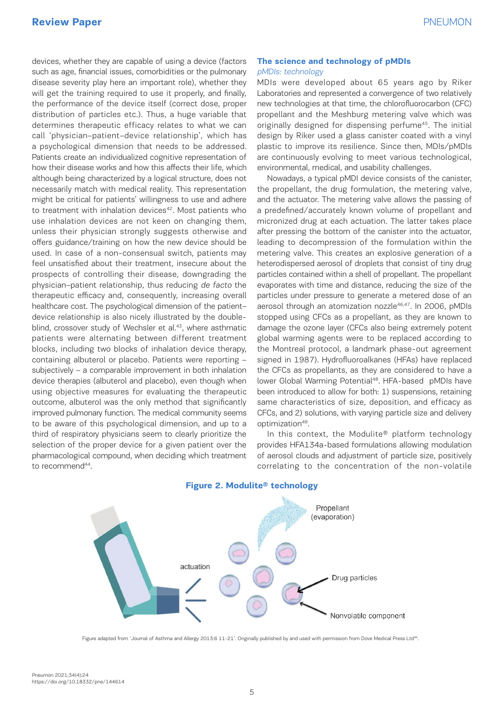devices, whether they are capable of using a device (factors such as age, financial issues, comorbidities or the pulmonary disease severity play here an important role), whether they will get the training required to use it properly, and finally, the performance of the device itself (correct dose, proper distribution of particles etc.). Thus, a huge variable that determines therapeutic efficacy relates to what we can call 'physician–patient–device relationship', which has a psychological dimension that needs to be addressed. Patients create an individualized cognitive representation of how their disease works and how this affects their life, which although being characterized by a logical structure, does not necessarily match with medical reality. This representation might be critical for patients' willingness to use and adhere to treatment with inhalation devices<sup>42</sup>. Most patients who use inhalation devices are not keen on changing them, unless their physician strongly suggests otherwise and offers guidance/training on how the new device should be used. In case of a non-consensual switch, patients may feel unsatisfied about their treatment, insecure about the prospects of controlling their disease, downgrading the physician–patient relationship, thus reducing de facto the therapeutic efficacy and, consequently, increasing overall healthcare cost. The psychological dimension of the patient– device relationship is also nicely illustrated by the doubleblind, crossover study of Wechsler et al.<sup>43</sup>, where asthmatic patients were alternating between different treatment blocks, including two blocks of inhalation device therapy, containing albuterol or placebo. Patients were reporting – subjectively – a comparable improvement in both inhalation device therapies (albuterol and placebo), even though when using objective measures for evaluating the therapeutic outcome, albuterol was the only method that significantly improved pulmonary function. The medical community seems to be aware of this psychological dimension, and up to a third of respiratory physicians seem to clearly prioritize the selection of the proper device for a given patient over the pharmacological compound, when deciding which treatment to recommend<sup>44</sup>.

## **The science and technology of pMDIs** pMDIs: technology

MDIs were developed about 65 years ago by Riker Laboratories and represented a convergence of two relatively new technologies at that time, the chlorofluorocarbon (CFC) propellant and the Meshburg metering valve which was originally designed for dispensing perfume45. The initial design by Riker used a glass canister coated with a vinyl plastic to improve its resilience. Since then, MDIs/pMDIs are continuously evolving to meet various technological, environmental, medical, and usability challenges.

Nowadays, a typical pMDI device consists of the canister, the propellant, the drug formulation, the metering valve, and the actuator. The metering valve allows the passing of a predefined/accurately known volume of propellant and micronized drug at each actuation. The latter takes place after pressing the bottom of the canister into the actuator, leading to decompression of the formulation within the metering valve. This creates an explosive generation of a heterodispersed aerosol of droplets that consist of tiny drug particles contained within a shell of propellant. The propellant evaporates with time and distance, reducing the size of the particles under pressure to generate a metered dose of an aerosol through an atomization nozzle<sup>46,47</sup>. In 2006, pMDIs stopped using CFCs as a propellant, as they are known to damage the ozone layer (CFCs also being extremely potent global warming agents were to be replaced according to the Montreal protocol, a landmark phase-out agreement signed in 1987). Hydrofluoroalkanes (HFAs) have replaced the CFCs as propellants, as they are considered to have a lower Global Warming Potential<sup>48</sup>. HFA-based pMDIs have been introduced to allow for both: 1) suspensions, retaining same characteristics of size, deposition, and efficacy as CFCs, and 2) solutions, with varying particle size and delivery optimization49.

In this context, the Modulite® platform technology provides HFA134a-based formulations allowing modulation of aerosol clouds and adjustment of particle size, positively correlating to the concentration of the non-volatile



#### **Figure 2. Modulite® technology**

Figure adapted from 'Journal of Asthma and Allergy 2013:6 11-21'. Originally published by and used with permission from Dove Medical Press Ltd<sup>94</sup>.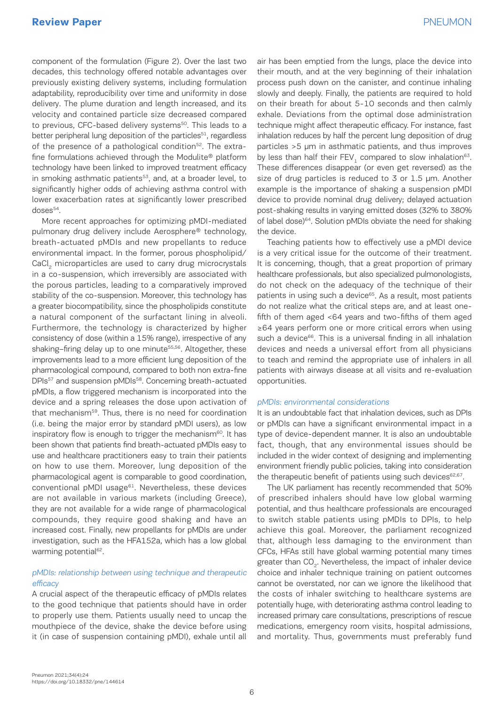# **Review Paper** PNEUMON

component of the formulation (Figure 2). Over the last two decades, this technology offered notable advantages over previously existing delivery systems, including formulation adaptability, reproducibility over time and uniformity in dose delivery. The plume duration and length increased, and its velocity and contained particle size decreased compared to previous, CFC-based delivery systems<sup>50</sup>. This leads to a better peripheral lung deposition of the particles<sup>51</sup>, regardless of the presence of a pathological condition<sup>52</sup>. The extrafine formulations achieved through the Modulite® platform technology have been linked to improved treatment efficacy in smoking asthmatic patients<sup>53</sup>, and, at a broader level, to significantly higher odds of achieving asthma control with lower exacerbation rates at significantly lower prescribed doses<sup>54</sup>.

More recent approaches for optimizing pMDI-mediated pulmonary drug delivery include Aerosphere® technology, breath-actuated pMDIs and new propellants to reduce environmental impact. In the former, porous phospholipid/ CaCl<sub>2</sub> microparticles are used to carry drug microcrystals in a co-suspension, which irreversibly are associated with the porous particles, leading to a comparatively improved stability of the co-suspension. Moreover, this technology has a greater biocompatibility, since the phospholipids constitute a natural component of the surfactant lining in alveoli. Furthermore, the technology is characterized by higher consistency of dose (within a 15% range), irrespective of any shaking–firing delay up to one minute<sup>55,56</sup>. Altogether, these improvements lead to a more efficient lung deposition of the pharmacological compound, compared to both non extra-fine DPIs<sup>57</sup> and suspension pMDIs<sup>58</sup>. Concerning breath-actuated pMDIs, a flow triggered mechanism is incorporated into the device and a spring releases the dose upon activation of that mechanism59. Thus, there is no need for coordination (i.e. being the major error by standard pMDI users), as low inspiratory flow is enough to trigger the mechanism<sup>60</sup>. It has been shown that patients find breath-actuated pMDIs easy to use and healthcare practitioners easy to train their patients on how to use them. Moreover, lung deposition of the pharmacological agent is comparable to good coordination, conventional pMDI usage<sup>61</sup>. Nevertheless, these devices are not available in various markets (including Greece), they are not available for a wide range of pharmacological compounds, they require good shaking and have an increased cost. Finally, new propellants for pMDIs are under investigation, such as the HFA152a, which has a low global warming potential<sup>62</sup>.

### pMDIs: relationship between using technique and therapeutic efficacy

A crucial aspect of the therapeutic efficacy of pMDIs relates to the good technique that patients should have in order to properly use them. Patients usually need to uncap the mouthpiece of the device, shake the device before using it (in case of suspension containing pMDI), exhale until all air has been emptied from the lungs, place the device into their mouth, and at the very beginning of their inhalation process push down on the canister, and continue inhaling slowly and deeply. Finally, the patients are required to hold on their breath for about 5-10 seconds and then calmly exhale. Deviations from the optimal dose administration technique might affect therapeutic efficacy. For instance, fast inhalation reduces by half the percent lung deposition of drug particles >5 μm in asthmatic patients, and thus improves by less than half their FEV<sub>1</sub> compared to slow inhalation<sup>63</sup>. These differences disappear (or even get reversed) as the size of drug particles is reduced to 3 or 1.5 μm. Another example is the importance of shaking a suspension pMDI device to provide nominal drug delivery; delayed actuation post-shaking results in varying emitted doses (32% to 380% of label dose)<sup>64</sup>. Solution pMDIs obviate the need for shaking the device.

Teaching patients how to effectively use a pMDI device is a very critical issue for the outcome of their treatment. It is concerning, though, that a great proportion of primary healthcare professionals, but also specialized pulmonologists, do not check on the adequacy of the technique of their patients in using such a device<sup>65</sup>. As a result, most patients do not realize what the critical steps are, and at least onefifth of them aged <64 years and two-fifths of them aged ≥64 years perform one or more critical errors when using such a device<sup>66</sup>. This is a universal finding in all inhalation devices and needs a universal effort from all physicians to teach and remind the appropriate use of inhalers in all patients with airways disease at all visits and re-evaluation opportunities.

#### pMDIs: environmental considerations

It is an undoubtable fact that inhalation devices, such as DPIs or pMDIs can have a significant environmental impact in a type of device-dependent manner. It is also an undoubtable fact, though, that any environmental issues should be included in the wider context of designing and implementing environment friendly public policies, taking into consideration the therapeutic benefit of patients using such devices $62,67$ .

The UK parliament has recently recommended that 50% of prescribed inhalers should have low global warming potential, and thus healthcare professionals are encouraged to switch stable patients using pMDIs to DPIs, to help achieve this goal. Moreover, the parliament recognized that, although less damaging to the environment than CFCs, HFAs still have global warming potential many times greater than CO<sub>2</sub>. Nevertheless, the impact of inhaler device choice and inhaler technique training on patient outcomes cannot be overstated, nor can we ignore the likelihood that the costs of inhaler switching to healthcare systems are potentially huge, with deteriorating asthma control leading to increased primary care consultations, prescriptions of rescue medications, emergency room visits, hospital admissions, and mortality. Thus, governments must preferably fund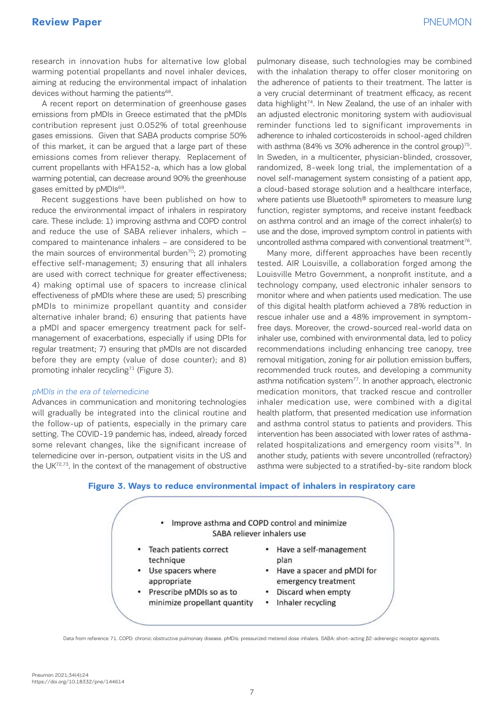research in innovation hubs for alternative low global warming potential propellants and novel inhaler devices, aiming at reducing the environmental impact of inhalation devices without harming the patients<sup>68</sup>.

A recent report on determination of greenhouse gases emissions from pMDIs in Greece estimated that the pMDIs contribution represent just 0.052% of total greenhouse gases emissions. Given that SABA products comprise 50% of this market, it can be argued that a large part of these emissions comes from reliever therapy. Replacement of current propellants with HFA152-a, which has a low global warming potential, can decrease around 90% the greenhouse gases emitted by pMDIs<sup>69</sup>.

Recent suggestions have been published on how to reduce the environmental impact of inhalers in respiratory care. These include: 1) improving asthma and COPD control and reduce the use of SABA reliever inhalers, which – compared to maintenance inhalers – are considered to be the main sources of environmental burden<sup>70</sup>; 2) promoting effective self-management; 3) ensuring that all inhalers are used with correct technique for greater effectiveness; 4) making optimal use of spacers to increase clinical effectiveness of pMDIs where these are used; 5) prescribing pMDIs to minimize propellant quantity and consider alternative inhaler brand; 6) ensuring that patients have a pMDI and spacer emergency treatment pack for selfmanagement of exacerbations, especially if using DPIs for regular treatment; 7) ensuring that pMDIs are not discarded before they are empty (value of dose counter); and 8) promoting inhaler recycling<sup>71</sup> (Figure 3).

#### pMDIs in the era of telemedicine

Advances in communication and monitoring technologies will gradually be integrated into the clinical routine and the follow-up of patients, especially in the primary care setting. The COVID-19 pandemic has, indeed, already forced some relevant changes, like the significant increase of telemedicine over in-person, outpatient visits in the US and the UK72,73. In the context of the management of obstructive

pulmonary disease, such technologies may be combined with the inhalation therapy to offer closer monitoring on the adherence of patients to their treatment. The latter is a very crucial determinant of treatment efficacy, as recent data highlight<sup>74</sup>. In New Zealand, the use of an inhaler with an adjusted electronic monitoring system with audiovisual reminder functions led to significant improvements in adherence to inhaled corticosteroids in school-aged children with asthma (84% vs 30% adherence in the control group)<sup>75</sup>. In Sweden, in a multicenter, physician-blinded, crossover, randomized, 8-week long trial, the implementation of a novel self-management system consisting of a patient app, a cloud-based storage solution and a healthcare interface, where patients use Bluetooth® spirometers to measure lung function, register symptoms, and receive instant feedback on asthma control and an image of the correct inhaler(s) to use and the dose, improved symptom control in patients with uncontrolled asthma compared with conventional treatment<sup>76</sup>.

Many more, different approaches have been recently tested. AIR Louisville, a collaboration forged among the Louisville Metro Government, a nonprofit institute, and a technology company, used electronic inhaler sensors to monitor where and when patients used medication. The use of this digital health platform achieved a 78% reduction in rescue inhaler use and a 48% improvement in symptomfree days. Moreover, the crowd-sourced real-world data on inhaler use, combined with environmental data, led to policy recommendations including enhancing tree canopy, tree removal mitigation, zoning for air pollution emission buffers, recommended truck routes, and developing a community asthma notification system<sup>77</sup>. In another approach, electronic medication monitors, that tracked rescue and controller inhaler medication use, were combined with a digital health platform, that presented medication use information and asthma control status to patients and providers. This intervention has been associated with lower rates of asthmarelated hospitalizations and emergency room visits<sup>78</sup>. In another study, patients with severe uncontrolled (refractory) asthma were subjected to a stratified-by-site random block

### **Figure 3. Ways to reduce environmental impact of inhalers in respiratory care**



Data from reference 71. COPD: chronic obstructive pulmonary disease. pMDIs: pressurized metered dose inhalers. SABA: short-acting β2-adrenergic receptor agonists.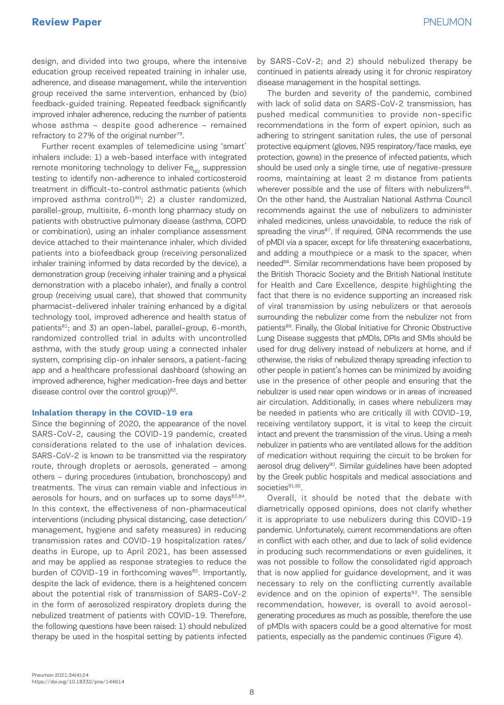design, and divided into two groups, where the intensive education group received repeated training in inhaler use, adherence, and disease management, while the intervention group received the same intervention, enhanced by (bio) feedback-guided training. Repeated feedback significantly improved inhaler adherence, reducing the number of patients whose asthma – despite good adherence – remained refractory to 27% of the original number<sup>79</sup>.

Further recent examples of telemedicine using 'smart' inhalers include: 1) a web-based interface with integrated remote monitoring technology to deliver  $Fe_{NO}$  suppression testing to identify non-adherence to inhaled corticosteroid treatment in difficult-to-control asthmatic patients (which improved asthma control) $80; 2)$  a cluster randomized, parallel-group, multisite, 6-month long pharmacy study on patients with obstructive pulmonary disease (asthma, COPD or combination), using an inhaler compliance assessment device attached to their maintenance inhaler, which divided patients into a biofeedback group (receiving personalized inhaler training informed by data recorded by the device), a demonstration group (receiving inhaler training and a physical demonstration with a placebo inhaler), and finally a control group (receiving usual care), that showed that community pharmacist-delivered inhaler training enhanced by a digital technology tool, improved adherence and health status of patients<sup>81</sup>; and 3) an open-label, parallel-group, 6-month, randomized controlled trial in adults with uncontrolled asthma, with the study group using a connected inhaler system, comprising clip-on inhaler sensors, a patient-facing app and a healthcare professional dashboard (showing an improved adherence, higher medication-free days and better disease control over the control group) $82$ .

#### **Inhalation therapy in the COVID-19 era**

Since the beginning of 2020, the appearance of the novel SARS-CoV-2, causing the COVID-19 pandemic, created considerations related to the use of inhalation devices. SARS-CoV-2 is known to be transmitted via the respiratory route, through droplets or aerosols, generated – among others – during procedures (intubation, bronchoscopy) and treatments. The virus can remain viable and infectious in aerosols for hours, and on surfaces up to some days $83,84$ . In this context, the effectiveness of non-pharmaceutical interventions (including physical distancing, case detection/ management, hygiene and safety measures) in reducing transmission rates and COVID-19 hospitalization rates/ deaths in Europe, up to April 2021, has been assessed and may be applied as response strategies to reduce the burden of COVID-19 in forthcoming waves<sup>85</sup>. Importantly, despite the lack of evidence, there is a heightened concern about the potential risk of transmission of SARS-CoV-2 in the form of aerosolized respiratory droplets during the nebulized treatment of patients with COVID-19. Therefore, the following questions have been raised: 1) should nebulized therapy be used in the hospital setting by patients infected

by SARS-CoV-2; and 2) should nebulized therapy be continued in patients already using it for chronic respiratory disease management in the hospital settings.

The burden and severity of the pandemic, combined with lack of solid data on SARS-CoV-2 transmission, has pushed medical communities to provide non-specific recommendations in the form of expert opinion, such as adhering to stringent sanitation rules, the use of personal protective equipment (gloves, N95 respiratory/face masks, eye protection, gowns) in the presence of infected patients, which should be used only a single time, use of negative-pressure rooms, maintaining at least 2 m distance from patients wherever possible and the use of filters with nebulizers<sup>86</sup>. On the other hand, the Australian National Asthma Council recommends against the use of nebulizers to administer inhaled medicines, unless unavoidable, to reduce the risk of spreading the virus<sup>87</sup>. If required, GINA recommends the use of pMDI via a spacer, except for life threatening exacerbations, and adding a mouthpiece or a mask to the spacer, when needed<sup>88</sup>. Similar recommendations have been proposed by the British Thoracic Society and the British National Institute for Health and Care Excellence, despite highlighting the fact that there is no evidence supporting an increased risk of viral transmission by using nebulizers or that aerosols surrounding the nebulizer come from the nebulizer not from patients<sup>89</sup>. Finally, the Global Initiative for Chronic Obstructive Lung Disease suggests that pMDIs, DPIs and SMIs should be used for drug delivery instead of nebulizers at home, and if otherwise, the risks of nebulized therapy spreading infection to other people in patient's homes can be minimized by avoiding use in the presence of other people and ensuring that the nebulizer is used near open windows or in areas of increased air circulation. Additionally, in cases where nebulizers may be needed in patients who are critically ill with COVID-19, receiving ventilatory support, it is vital to keep the circuit intact and prevent the transmission of the virus. Using a mesh nebulizer in patients who are ventilated allows for the addition of medication without requiring the circuit to be broken for aerosol drug delivery<sup>90</sup>. Similar guidelines have been adopted by the Greek public hospitals and medical associations and societies<sup>91,92</sup>.

Overall, it should be noted that the debate with diametrically opposed opinions, does not clarify whether it is appropriate to use nebulizers during this COVID-19 pandemic. Unfortunately, current recommendations are often in conflict with each other, and due to lack of solid evidence in producing such recommendations or even guidelines, it was not possible to follow the consolidated rigid approach that is now applied for guidance development, and it was necessary to rely on the conflicting currently available evidence and on the opinion of experts $93$ . The sensible recommendation, however, is overall to avoid aerosolgenerating procedures as much as possible, therefore the use of pMDIs with spacers could be a good alternative for most patients, especially as the pandemic continues (Figure 4).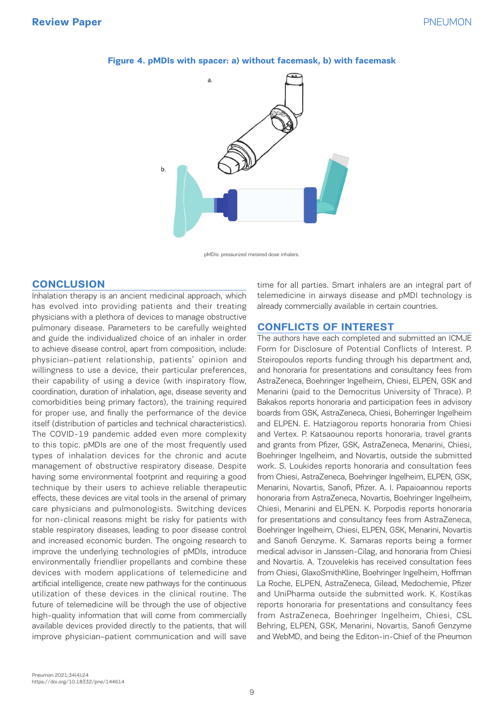

#### **Figure 4. pMDIs with spacer: a) without facemask, b) with facemask**

pMDIs: pressurized metered dose inhalers.

## **CONCLUSION**

Inhalation therapy is an ancient medicinal approach, which has evolved into providing patients and their treating physicians with a plethora of devices to manage obstructive pulmonary disease. Parameters to be carefully weighted and guide the individualized choice of an inhaler in order to achieve disease control, apart from composition, include: physician–patient relationship, patients' opinion and willingness to use a device, their particular preferences, their capability of using a device (with inspiratory flow, coordination, duration of inhalation, age, disease severity and comorbidities being primary factors), the training required for proper use, and finally the performance of the device itself (distribution of particles and technical characteristics). The COVID-19 pandemic added even more complexity to this topic. pMDIs are one of the most frequently used types of inhalation devices for the chronic and acute management of obstructive respiratory disease. Despite having some environmental footprint and requiring a good technique by their users to achieve reliable therapeutic effects, these devices are vital tools in the arsenal of primary care physicians and pulmonologists. Switching devices for non-clinical reasons might be risky for patients with stable respiratory diseases, leading to poor disease control and increased economic burden. The ongoing research to improve the underlying technologies of pMDIs, introduce environmentally friendlier propellants and combine these devices with modern applications of telemedicine and artificial intelligence, create new pathways for the continuous utilization of these devices in the clinical routine. The future of telemedicine will be through the use of objective high-quality information that will come from commercially available devices provided directly to the patients, that will improve physician–patient communication and will save pm is time for time for time for time for time for time for time for time  $\sim$ 

time for all parties. Smart inhalers are an integral part of telemedicine in airways disease and pMDI technology is already commercially available in certain countries.

## **CONFLICTS OF INTEREST**

The authors have each completed and submitted an ICMJE Form for Disclosure of Potential Conflicts of Interest. P. Steiropoulos reports funding through his department and, and honoraria for presentations and consultancy fees from AstraZeneca, Boehringer Ingelheim, Chiesi, ELPEN, GSK and Menarini (paid to the Democritus University of Thrace). P. Bakakos reports honoraria and participation fees in advisory boards from GSK, AstraZeneca, Chiesi, Boherringer Ingelheim and ELPEN. E. Hatziagorou reports honoraria from Chiesi and Vertex. P. Katsaounou reports honoraria, travel grants and grants from Pfizer, GSK, AstraZeneca, Menarini, Chiesi, Boehringer Ingelheim, and Novartis, outside the submitted work. S. Loukides reports honoraria and consultation fees from Chiesi, AstraZeneca, Boehringer Ingelheim, ELPEN, GSK, Menarini, Novartis, Sanofi, Pfizer. A. I. Papaioannou reports honoraria from AstraZeneca, Novartis, Boehringer Ingelheim, Chiesi, Menarini and ELPEN. K. Porpodis reports honoraria for presentations and consultancy fees from AstraZeneca, Boehringer Ingelheim, Chiesi, ELPEN, GSK, Menarini, Novartis and Sanofi Genzyme. K. Samaras reports being a former medical advisor in Janssen-Cilag, and honoraria from Chiesi and Novartis. A. Tzouvelekis has received consultation fees from Chiesi, GlaxoSmithKline, Boehringer Ingelheim, Hoffman La Roche, ELPEN, AstraZeneca, Gilead, Medochemie, Pfizer and UniPharma outside the submitted work. K. Kostikas reports honoraria for presentations and consultancy fees from AstraZeneca, Boehringer Ingelheim, Chiesi, CSL Behring, ELPEN, GSK, Menarini, Novartis, Sanofi Genzyme and WebMD, and being the Editon-in-Chief of the Pneumon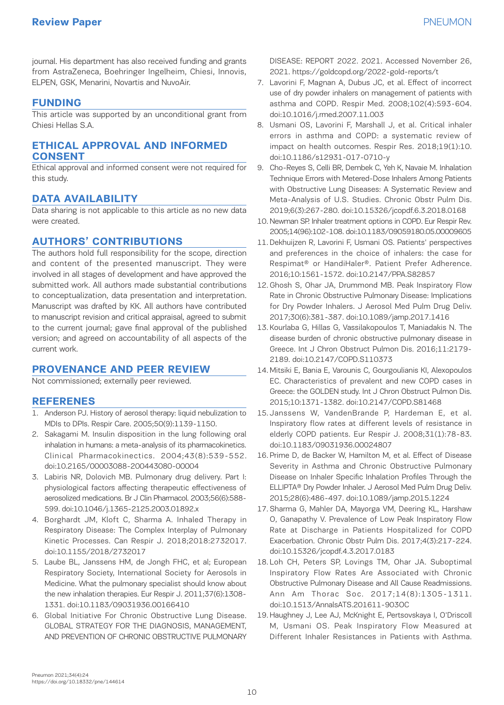journal. His department has also received funding and grants from AstraZeneca, Boehringer Ingelheim, Chiesi, Innovis, ELPEN, GSK, Menarini, Novartis and NuvoAir.

## **FUNDING**

This article was supported by an unconditional grant from Chiesi Hellas S.A.

# **ETHICAL APPROVAL AND INFORMED CONSENT**

Ethical approval and informed consent were not required for this study.

# **DATA AVAILABILITY**

Data sharing is not applicable to this article as no new data were created.

# **AUTHORS' CONTRIBUTIONS**

The authors hold full responsibility for the scope, direction and content of the presented manuscript. They were involved in all stages of development and have approved the submitted work. All authors made substantial contributions to conceptualization, data presentation and interpretation. Manuscript was drafted by KK. All authors have contributed to manuscript revision and critical appraisal, agreed to submit to the current journal; gave final approval of the published version; and agreed on accountability of all aspects of the current work.

# **PROVENANCE AND PEER REVIEW**

Not commissioned; externally peer reviewed.

# **REFERENES**

- 1. Anderson PJ. History of aerosol therapy: liquid nebulization to MDIs to DPIs. Respir Care. 2005;50(9):1139-1150.
- 2. Sakagami M. Insulin disposition in the lung following oral inhalation in humans: a meta-analysis of its pharmacokinetics. Clinical Pharmacokinectics. 2004;43(8):539-552. doi:10.2165/00003088-200443080-00004
- 3. Labiris NR, Dolovich MB. Pulmonary drug delivery. Part I: physiological factors affecting therapeutic effectiveness of aerosolized medications. Br J Clin Pharmacol. 2003;56(6):588- 599. doi:10.1046/j.1365-2125.2003.01892.x
- 4. Borghardt JM, Kloft C, Sharma A. Inhaled Therapy in Respiratory Disease: The Complex Interplay of Pulmonary Kinetic Processes. Can Respir J. 2018;2018:2732017. doi:10.1155/2018/2732017
- 5. Laube BL, Janssens HM, de Jongh FHC, et al; European Respiratory Society, International Society for Aerosols in Medicine. What the pulmonary specialist should know about the new inhalation therapies. Eur Respir J. 2011;37(6):1308- 1331. doi:10.1183/09031936.00166410
- 6. Global Initiative For Chronic Obstructive Lung Disease. GLOBAL STRATEGY FOR THE DIAGNOSIS, MANAGEMENT, AND PREVENTION OF CHRONIC OBSTRUCTIVE PULMONARY

DISEASE: REPORT 2022. 2021. Accessed November 26, 2021. https://goldcopd.org/2022-gold-reports/t

- 7. Lavorini F, Magnan A, Dubus JC, et al. Effect of incorrect use of dry powder inhalers on management of patients with asthma and COPD. Respir Med. 2008;102(4):593-604. doi:10.1016/j.rmed.2007.11.003
- 8. Usmani OS, Lavorini F, Marshall J, et al. Critical inhaler errors in asthma and COPD: a systematic review of impact on health outcomes. Respir Res. 2018;19(1):10. doi:10.1186/s12931-017-0710-y
- 9. Cho-Reyes S, Celli BR, Dembek C, Yeh K, Navaie M. Inhalation Technique Errors with Metered-Dose Inhalers Among Patients with Obstructive Lung Diseases: A Systematic Review and Meta-Analysis of U.S. Studies. Chronic Obstr Pulm Dis. 2019;6(3):267-280. doi:10.15326/jcopdf.6.3.2018.0168
- 10. Newman SP. Inhaler treatment options in COPD. Eur Respir Rev. 2005;14(96):102-108. doi:10.1183/09059180.05.00009605
- 11. Dekhuijzen R, Lavorini F, Usmani OS. Patients' perspectives and preferences in the choice of inhalers: the case for Respimat® or HandiHaler®. Patient Prefer Adherence. 2016;10:1561-1572. doi:10.2147/PPA.S82857
- 12. Ghosh S, Ohar JA, Drummond MB. Peak Inspiratory Flow Rate in Chronic Obstructive Pulmonary Disease: Implications for Dry Powder Inhalers. J Aerosol Med Pulm Drug Deliv. 2017;30(6):381-387. doi:10.1089/jamp.2017.1416
- 13. Kourlaba G, Hillas G, Vassilakopoulos T, Maniadakis N. The disease burden of chronic obstructive pulmonary disease in Greece. Int J Chron Obstruct Pulmon Dis. 2016;11:2179- 2189. doi:10.2147/COPD.S110373
- 14. Mitsiki E, Bania E, Varounis C, Gourgoulianis KI, Alexopoulos EC. Characteristics of prevalent and new COPD cases in Greece: the GOLDEN study. Int J Chron Obstruct Pulmon Dis. 2015;10:1371-1382. doi:10.2147/COPD.S81468
- 15. Janssens W, VandenBrande P, Hardeman E, et al. Inspiratory flow rates at different levels of resistance in elderly COPD patients. Eur Respir J. 2008;31(1):78-83. doi:10.1183/09031936.00024807
- 16. Prime D, de Backer W, Hamilton M, et al. Effect of Disease Severity in Asthma and Chronic Obstructive Pulmonary Disease on Inhaler Specific Inhalation Profiles Through the ELLIPTA® Dry Powder Inhaler. J Aerosol Med Pulm Drug Deliv. 2015;28(6):486-497. doi:10.1089/jamp.2015.1224
- 17. Sharma G, Mahler DA, Mayorga VM, Deering KL, Harshaw O, Ganapathy V. Prevalence of Low Peak Inspiratory Flow Rate at Discharge in Patients Hospitalized for COPD Exacerbation. Chronic Obstr Pulm Dis. 2017;4(3):217-224. doi:10.15326/jcopdf.4.3.2017.0183
- 18. Loh CH, Peters SP, Lovings TM, Ohar JA. Suboptimal Inspiratory Flow Rates Are Associated with Chronic Obstructive Pulmonary Disease and All Cause Readmissions. Ann Am Thorac Soc. 2017;14(8):1305-1311. doi:10.1513/AnnalsATS.201611-903OC
- 19. Haughney J, Lee AJ, McKnight E, Pertsovskaya I, O'Driscoll M, Usmani OS. Peak Inspiratory Flow Measured at Different Inhaler Resistances in Patients with Asthma.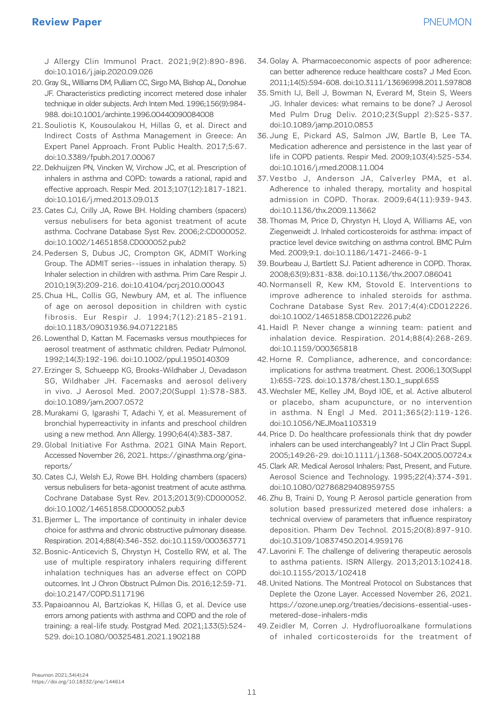J Allergy Clin Immunol Pract. 2021;9(2):890-896. doi:10.1016/j.jaip.2020.09.026

- 20. Gray SL, Williams DM, Pulliam CC, Sirgo MA, Bishop AL, Donohue JF. Characteristics predicting incorrect metered dose inhaler technique in older subjects. Arch Intern Med. 1996;156(9):984- 988. doi:10.1001/archinte.1996.00440090084008
- 21. Souliotis K, Kousoulakou H, Hillas G, et al. Direct and Indirect Costs of Asthma Management in Greece: An Expert Panel Approach. Front Public Health. 2017;5:67. doi:10.3389/fpubh.2017.00067
- 22. Dekhuijzen PN, Vincken W, Virchow JC, et al. Prescription of inhalers in asthma and COPD: towards a rational, rapid and effective approach. Respir Med. 2013;107(12):1817-1821. doi:10.1016/j.rmed.2013.09.013
- 23. Cates CJ, Crilly JA, Rowe BH. Holding chambers (spacers) versus nebulisers for beta agonist treatment of acute asthma. Cochrane Database Syst Rev. 2006;2:CD000052. doi:10.1002/14651858.CD000052.pub2
- 24. Pedersen S, Dubus JC, Crompton GK, ADMIT Working Group. The ADMIT series--issues in inhalation therapy. 5) Inhaler selection in children with asthma. Prim Care Respir J. 2010;19(3):209-216. doi:10.4104/pcrj.2010.00043
- 25. Chua HL, Collis GG, Newbury AM, et al. The influence of age on aerosol deposition in children with cystic fibrosis. Eur Respir J. 1994;7(12):2185-2191. doi:10.1183/09031936.94.07122185
- 26. Lowenthal D, Kattan M. Facemasks versus mouthpieces for aerosol treatment of asthmatic children. Pediatr Pulmonol. 1992;14(3):192-196. doi:10.1002/ppul.1950140309
- 27. Erzinger S, Schueepp KG, Brooks-Wildhaber J, Devadason SG, Wildhaber JH. Facemasks and aerosol delivery in vivo. J Aerosol Med. 2007;20(Suppl 1):S78-S83. doi:10.1089/jam.2007.0572
- 28. Murakami G, Igarashi T, Adachi Y, et al. Measurement of bronchial hyperreactivity in infants and preschool children using a new method. Ann Allergy. 1990;64(4):383-387.
- 29. Global Initiative For Asthma. 2021 GINA Main Report. Accessed November 26, 2021. https://ginasthma.org/ginareports/
- 30. Cates CJ, Welsh EJ, Rowe BH. Holding chambers (spacers) versus nebulisers for beta-agonist treatment of acute asthma. Cochrane Database Syst Rev. 2013;2013(9):CD000052. doi:10.1002/14651858.CD000052.pub3
- 31. Bjermer L. The importance of continuity in inhaler device choice for asthma and chronic obstructive pulmonary disease. Respiration. 2014;88(4):346-352. doi:10.1159/000363771
- 32. Bosnic-Anticevich S, Chrystyn H, Costello RW, et al. The use of multiple respiratory inhalers requiring different inhalation techniques has an adverse effect on COPD outcomes. Int J Chron Obstruct Pulmon Dis. 2016;12:59-71. doi:10.2147/COPD.S117196
- 33. Papaioannou AI, Bartziokas K, Hillas G, et al. Device use errors among patients with asthma and COPD and the role of training: a real-life study. Postgrad Med. 2021;133(5):524- 529. doi:10.1080/00325481.2021.1902188
- 34. Golay Α. Pharmacoeconomic aspects of poor adherence: can better adherence reduce healthcare costs? J Med Econ. 2011;14(5):594-608. doi:10.3111/13696998.2011.597808
- 35. Smith IJ, Bell J, Bowman N, Everard M, Stein S, Weers JG. Inhaler devices: what remains to be done? J Aerosol Med Pulm Drug Deliv. 2010;23(Suppl 2):S25-S37. doi:10.1089/jamp.2010.0853
- 36. Jung E, Pickard AS, Salmon JW, Bartle B, Lee TA. Medication adherence and persistence in the last year of life in COPD patients. Respir Med. 2009;103(4):525-534. doi:10.1016/j.rmed.2008.11.004
- 37. Vestbo J, Anderson JA, Calverley PMA, et al. Adherence to inhaled therapy, mortality and hospital admission in COPD. Thorax. 2009;64(11):939-943. doi:10.1136/thx.2009.113662
- 38. Thomas M, Price D, Chrystyn H, Lloyd A, Williams AE, von Ziegenweidt J. Inhaled corticosteroids for asthma: impact of practice level device switching on asthma control. BMC Pulm Med. 2009;9:1. doi:10.1186/1471-2466-9-1
- 39. Bourbeau J, Bartlett SJ. Patient adherence in COPD. Thorax. 2008;63(9):831-838. doi:10.1136/thx.2007.086041
- 40. Normansell R, Kew KM, Stovold E. Interventions to improve adherence to inhaled steroids for asthma. Cochrane Database Syst Rev. 2017;4(4):CD012226. doi:10.1002/14651858.CD012226.pub2
- 41. Haidl P. Never change a winning team: patient and inhalation device. Respiration. 2014;88(4):268-269. doi:10.1159/000365818
- 42. Horne R. Compliance, adherence, and concordance: implications for asthma treatment. Chest. 2006;130(Suppl 1):65S-72S. doi:10.1378/chest.130.1\_suppl.65S
- 43. Wechsler ME, Kelley JM, Boyd IOE, et al. Active albuterol or placebo, sham acupuncture, or no intervention in asthma. N Engl J Med. 2011;365(2):119-126. doi:10.1056/NEJMoa1103319
- 44. Price D. Do healthcare professionals think that dry powder inhalers can be used interchangeably? Int J Clin Pract Suppl. 2005;149:26-29. doi:10.1111/j.1368-504X.2005.00724.x
- 45. Clark AR. Medical Aerosol Inhalers: Past, Present, and Future. Aerosol Science and Technology. 1995;22(4):374-391. doi:10.1080/02786829408959755
- 46. Zhu B, Traini D, Young P. Aerosol particle generation from solution based pressurized metered dose inhalers: a technical overview of parameters that influence respiratory deposition. Pharm Dev Technol. 2015;20(8):897-910. doi:10.3109/10837450.2014.959176
- 47. Lavorini F. The challenge of delivering therapeutic aerosols to asthma patients. ISRN Allergy. 2013;2013:102418. doi:10.1155/2013/102418
- 48. United Nations. The Montreal Protocol on Substances that Deplete the Ozone Layer. Accessed November 26, 2021. https://ozone.unep.org/treaties/decisions-essential-usesmetered-dose-inhalers-mdis
- 49. Zeidler M, Corren J. Hydrofluoroalkane formulations of inhaled corticosteroids for the treatment of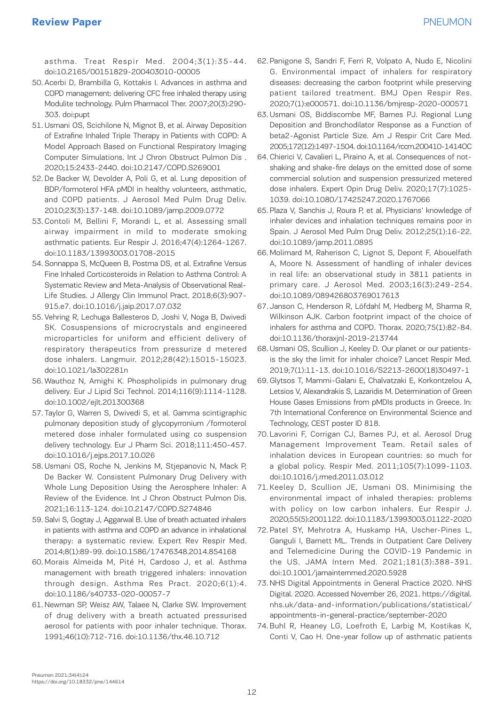asthma. Treat Respir Med. 2004;3(1):35-44. doi:10.2165/00151829-200403010-00005

- 50. Acerbi D, Brambilla G, Kottakis I. Advances in asthma and COPD management: delivering CFC free inhaled therapy using Modulite technology. Pulm Pharmacol Ther. 2007;20(3):290- 303. doi:pupt
- 51. Usmani OS, Scichilone N, Mignot B, et al. Airway Deposition of Extrafine Inhaled Triple Therapy in Patients with COPD: A Model Approach Based on Functional Respiratory Imaging Computer Simulations. Int J Chron Obstruct Pulmon Dis . 2020;15:2433-2440. doi:10.2147/COPD.S269001
- 52. De Backer W, Devolder A, Poli G, et al. Lung deposition of BDP/formoterol HFA pMDI in healthy volunteers, asthmatic, and COPD patients. J Aerosol Med Pulm Drug Deliv. 2010;23(3):137-148. doi:10.1089/jamp.2009.0772
- 53. Contoli M, Bellini F, Morandi L, et al. Assessing small airway impairment in mild to moderate smoking asthmatic patients. Eur Respir J. 2016;47(4):1264-1267. doi:10.1183/13993003.01708-2015
- 54. Sonnappa S, McQueen B, Postma DS, et al. Extrafine Versus Fine Inhaled Corticosteroids in Relation to Asthma Control: A Systematic Review and Meta-Analysis of Observational Real-Life Studies. J Allergy Clin Immunol Pract. 2018;6(3):907- 915.e7. doi:10.1016/j.jaip.2017.07.032
- 55. Vehring R, Lechuga Ballesteros D, Joshi V, Noga B, Dwivedi SK. Cosuspensions of microcrystals and engineered microparticles for uniform and efficient delivery of respiratory therapeutics from pressurize d metered dose inhalers. Langmuir. 2012;28(42):15015-15023. doi:10.1021/la302281n
- 56. Wauthoz N, Amighi K. Phospholipids in pulmonary drug delivery. Eur J Lipid Sci Technol. 2014;116(9):1114-1128. doi:10.1002/ejlt.201300368
- 57. Taylor G, Warren S, Dwivedi S, et al. Gamma scintigraphic pulmonary deposition study of glycopyrronium /formoterol metered dose inhaler formulated using co suspension delivery technology. Eur J Pharm Sci. 2018;111:450-457. doi:10.1016/j.ejps.2017.10.026
- 58. Usmani OS, Roche N, Jenkins M, Stjepanovic N, Mack P, De Backer W. Consistent Pulmonary Drug Delivery with Whole Lung Deposition Using the Aerosphere Inhaler: A Review of the Evidence. Int J Chron Obstruct Pulmon Dis. 2021;16:113-124. doi:10.2147/COPD.S274846
- 59. Salvi S, Gogtay J, Aggarwal B. Use of breath actuated inhalers in patients with asthma and COPD an advance in inhalational therapy: a systematic review. Expert Rev Respir Med. 2014;8(1):89-99. doi:10.1586/17476348.2014.854168
- 60. Morais Almeida M, Pité H, Cardoso J, et al. Asthma management with breath triggered inhalers: innovation through design. Asthma Res Pract. 2020;6(1):4. doi:10.1186/s40733-020-00057-7
- 61. Newman SP, Weisz AW, Talaee N, Clarke SW. Improvement of drug delivery with a breath actuated pressurised aerosol for patients with poor inhaler technique. Thorax. 1991;46(10):712-716. doi:10.1136/thx.46.10.712
- 62. Panigone S, Sandri F, Ferri R, Volpato A, Nudo E, Nicolini G. Environmental impact of inhalers for respiratory diseases: decreasing the carbon footprint while preserving patient tailored treatment. BMJ Open Respir Res. 2020;7(1):e000571. doi:10.1136/bmjresp-2020-000571
- 63. Usmani OS, Biddiscombe MF, Barnes PJ. Regional Lung Deposition and Bronchodilator Response as a Function of beta2-Agonist Particle Size. Am J Respir Crit Care Med. 2005;172(12):1497-1504. doi:10.1164/rccm.200410-1414OC
- 64. Chierici V, Cavalieri L, Piraino A, et al. Consequences of notshaking and shake-fire delays on the emitted dose of some commercial solution and suspension pressurized metered dose inhalers. Expert Opin Drug Deliv. 2020;17(7):1025- 1039. doi:10.1080/17425247.2020.1767066
- 65. Plaza V, Sanchis J, Roura P, et al. Physicians' knowledge of inhaler devices and inhalation techniques remains poor in Spain. J Aerosol Med Pulm Drug Deliv. 2012;25(1):16-22. doi:10.1089/jamp.2011.0895
- 66. Molimard M, Raherison C, Lignot S, Depont F, Abouelfath A, Moore N. Assessment of handling of inhaler devices in real life: an observational study in 3811 patients in primary care. J Aerosol Med. 2003;16(3):249-254. doi:10.1089/089426803769017613
- 67. Janson C, Henderson R, Löfdahl M, Hedberg M, Sharma R, Wilkinson AJK. Carbon footprint impact of the choice of inhalers for asthma and COPD. Thorax. 2020;75(1):82-84. doi:10.1136/thoraxjnl-2019-213744
- 68. Usmani OS, Scullion J, Keeley D. Our planet or our patientsis the sky the limit for inhaler choice? Lancet Respir Med. 2019;7(1):11-13. doi:10.1016/S2213-2600(18)30497-1
- 69. Glytsos T, Mammi-Galani E, Chalvatzaki E, Korkontzelou A, Letsios V, Alexandrakis S, Lazaridis M. Determination of Green House Gases Emissions from pMDIs products in Greece. In: 7th International Conference on Environmental Science and Technology, CEST poster ID 818.
- 70. Lavorini F, Corrigan CJ, Barnes PJ, et al. Aerosol Drug Management Improvement Team. Retail sales of inhalation devices in European countries: so much for a global policy. Respir Med. 2011;105(7):1099-1103. doi:10.1016/j.rmed.2011.03.012
- 71. Keeley D, Scullion JE, Usmani OS. Minimising the environmental impact of inhaled therapies: problems with policy on low carbon inhalers. Eur Respir J. 2020;55(5):2001122. doi:10.1183/13993003.01122-2020
- 72. Patel SY, Mehrotra A, Huskamp HA, Uscher-Pines L, Ganguli I, Barnett ML. Trends in Outpatient Care Delivery and Telemedicine During the COVID-19 Pandemic in the US. JAMA Intern Med. 2021;181(3):388-391. doi:10.1001/jamainternmed.2020.5928
- 73. NHS Digital Appointments in General Practice 2020. NHS Digital. 2020. Accessed November 26, 2021. https://digital. nhs.uk/data-and-information/publications/statistical/ appointments-in-general-practice/september-2020
- 74. Buhl R, Heaney LG, Loefroth E, Larbig M, Kostikas K, Conti V, Cao H. One-year follow up of asthmatic patients